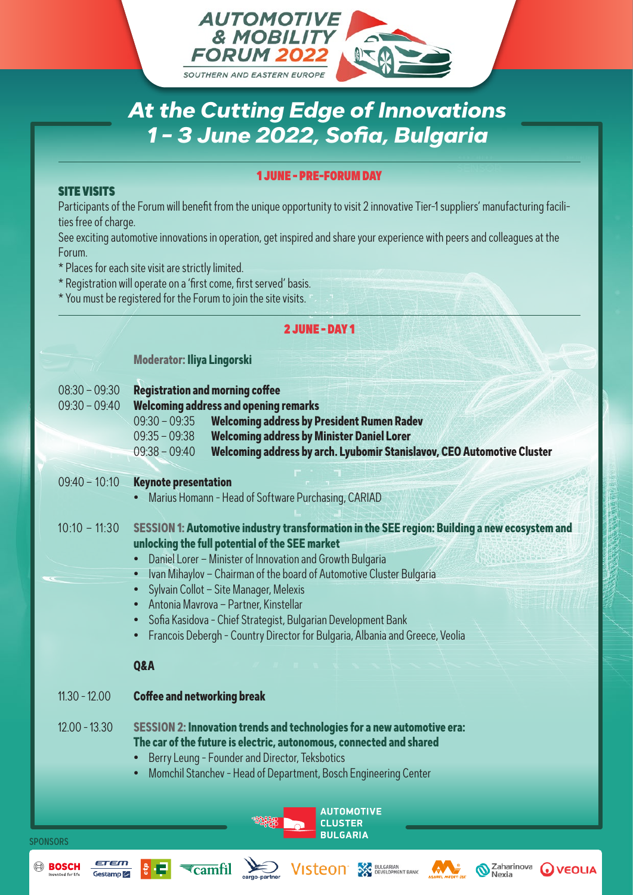

# *At the Cutting Edge of Innovations 1 - 3 June 2022, Sofia, Bulgaria*

#### 1 JUNE - PRE-FORUM DAY

### SITE VISITS

Participants of the Forum will benefit from the unique opportunity to visit 2 innovative Tier-1 suppliers' manufacturing facilities free of charge.

See exciting automotive innovations in operation, get inspired and share your experience with peers and colleagues at the Forum.

\* Places for each site visit are strictly limited.

\* Registration will operate on a 'first come, first served' basis.

\* You must be registered for the Forum to join the site visits.

 $\overline{\epsilon}$ camfil

### 2 JUNE - DAY 1 **Moderator: Iliya Lingorski** 08:30 – 09:30 **Registration and morning coffee** 09:30 – 09:40 **Welcoming address and opening remarks**  09:30 – 09:35 **Welcoming address by President Rumen Radev** 09:35 – 09:38 **Welcoming address by Minister Daniel Lorer** 09:38 – 09:40 **Welcoming address by arch. Lyubomir Stanislavov, CEO Automotive Cluster**  09:40 – 10:10 **Keynote presentation** • Marius Homann - Head of Software Purchasing, CARIAD 10:10 – 11:30 **SESSION 1: Automotive industry transformation in the SEE region: Building a new ecosystem and unlocking the full potential of the SEE market**  • Daniel Lorer – Minister of Innovation and Growth Bulgaria • Ivan Mihaylov – Chairman of the board of Automotive Cluster Bulgaria • Sylvain Collot – Site Manager, Melexis • Antonia Mavrova – Partner, Kinstellar • Sofia Kasidova - Chief Strategist, Bulgarian Development Bank • Francois Debergh - Country Director for Bulgaria, Albania and Greece, Veolia **Q&A** 11.30 - 12.00 **Coffee and networking break** 12.00 - 13.30 **SESSION 2: Innovation trends and technologies for a new automotive era: The car of the future is electric, autonomous, connected and shared** • Berry Leung - Founder and Director, Teksbotics • Momchil Stanchev - Head of Department, Bosch Engineering Center**AUTOMOTIVE CLUSTER BULGARIA SPONSORS VISTEON** SEVELGARIAN **BOSCH** Zaharinova

**WEOLIA**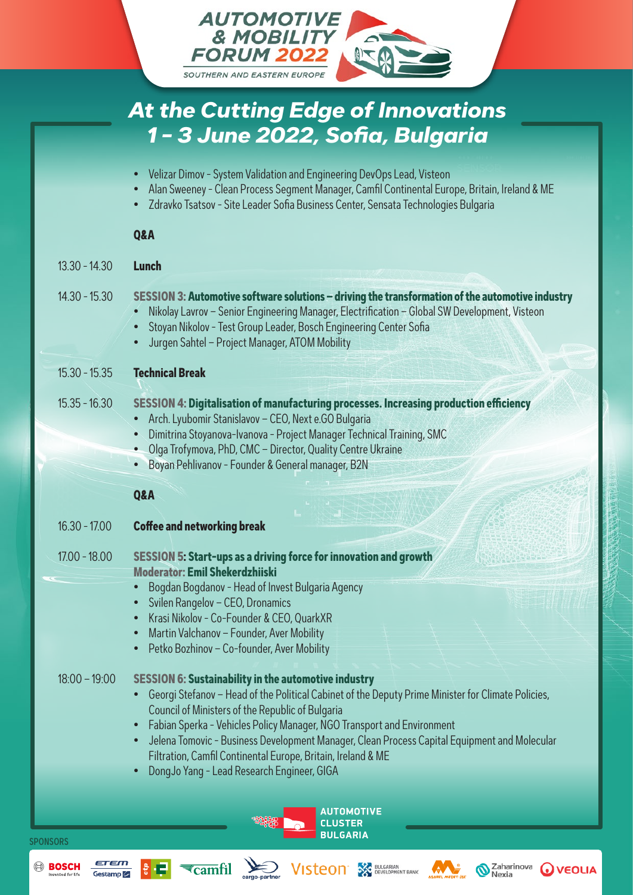

|                 | Nikolay Lavrov - Senior Engineering Manager, Electrification - Global SW Development, Visteon<br>Stoyan Nikolov - Test Group Leader, Bosch Engineering Center Sofia<br>Jurgen Sahtel - Project Manager, ATOM Mobility<br>$\bullet$                                                                                                                                                                                                                                                                        |
|-----------------|-----------------------------------------------------------------------------------------------------------------------------------------------------------------------------------------------------------------------------------------------------------------------------------------------------------------------------------------------------------------------------------------------------------------------------------------------------------------------------------------------------------|
| $15.30 - 15.35$ | <b>Technical Break</b>                                                                                                                                                                                                                                                                                                                                                                                                                                                                                    |
| $15.35 - 16.30$ | SESSION 4: Digitalisation of manufacturing processes. Increasing production efficiency<br>Arch. Lyubomir Stanislavov - CEO, Next e.GO Bulgaria<br>Dimitrina Stoyanova-Ivanova - Project Manager Technical Training, SMC<br>• Olga Trofymova, PhD, CMC - Director, Quality Centre Ukraine<br>Boyan Pehlivanov - Founder & General manager, B2N                                                                                                                                                             |
|                 | Q&A                                                                                                                                                                                                                                                                                                                                                                                                                                                                                                       |
| $16.30 - 17.00$ | <b>Coffee and networking break</b>                                                                                                                                                                                                                                                                                                                                                                                                                                                                        |
| $17.00 - 18.00$ | <b>SESSION 5: Start-ups as a driving force for innovation and growth</b><br><b>Moderator: Emil Shekerdzhijski</b>                                                                                                                                                                                                                                                                                                                                                                                         |
| $18:00 - 19:00$ | Bogdan Bogdanov - Head of Invest Bulgaria Agency<br>Svilen Rangelov - CEO, Dronamics<br>$\bullet$<br>Krasi Nikolov - Co-Founder & CEO, QuarkXR<br>Martin Valchanov - Founder, Aver Mobility<br>$\bullet$<br>Petko Bozhinov - Co-founder, Aver Mobility<br>$\bullet$<br><b>SESSION 6: Sustainability in the automotive industry</b><br>Georgi Stefanov - Head of the Political Cabinet of the Deputy Prime Minister for Climate Policies,<br>$\bullet$<br>Council of Ministers of the Republic of Bulgaria |
|                 | Fabian Sperka - Vehicles Policy Manager, NGO Transport and Environment<br>$\bullet$<br>Jelena Tomovic - Business Development Manager, Clean Process Capital Equipment and Molecular<br>$\bullet$<br>Filtration, Camfil Continental Europe, Britain, Ireland & ME                                                                                                                                                                                                                                          |

• DongJo Yang - Lead Research Engineer, GIGA

 $\sum_{i=1}^{n}$ 

 $\overline{\tau}$ camfil

SPONSORS

**BOSCH** 

**AUTOMOTIVE CLUSTER BULGARIA**